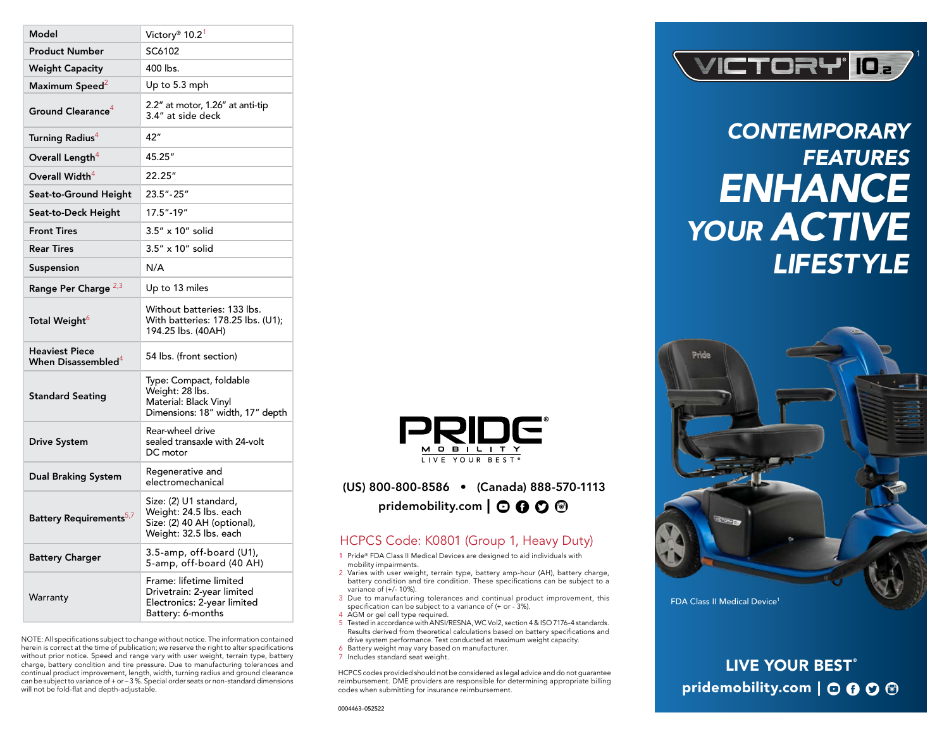| Model                                                   | Victory <sup>®</sup> 10.2 <sup>1</sup>                                                                    |
|---------------------------------------------------------|-----------------------------------------------------------------------------------------------------------|
| <b>Product Number</b>                                   | SC6102                                                                                                    |
| <b>Weight Capacity</b>                                  | 400 lbs.                                                                                                  |
| Maximum Speed <sup>2</sup>                              | Up to 5.3 mph                                                                                             |
| Ground Clearance $^4$                                   | 2.2" at motor, 1.26" at anti-tip<br>3.4" at side deck                                                     |
| Turning Radius <sup>4</sup>                             | 42"                                                                                                       |
| Overall Length <sup>4</sup>                             | 45.25"                                                                                                    |
| Overall Width $\rm ^4$                                  | 22.25"                                                                                                    |
| Seat-to-Ground Height                                   | 23.5" - 25"                                                                                               |
| Seat-to-Deck Height                                     | 17.5"-19"                                                                                                 |
| <b>Front Tires</b>                                      | 3.5" x 10" solid                                                                                          |
| <b>Rear Tires</b>                                       | 3.5" x 10" solid                                                                                          |
| Suspension                                              | N/A                                                                                                       |
| Range Per Charge <sup>2,3</sup>                         | Up to 13 miles                                                                                            |
| Total Weight <sup>6</sup>                               | Without batteries: 133 lbs.<br>With batteries: 178.25 lbs. (U1);<br>194.25 lbs. (40AH)                    |
| <b>Heaviest Piece</b><br>When Disassembled <sup>4</sup> | 54 lbs. (front section)                                                                                   |
| <b>Standard Seating</b>                                 | Type: Compact, foldable<br>Weight: 28 lbs.<br>Material: Black Vinyl<br>Dimensions: 18" width, 17" depth   |
| <b>Drive System</b>                                     | Rear-wheel drive<br>sealed transaxle with 24-volt<br>DC motor                                             |
| <b>Dual Braking System</b>                              | Regenerative and<br>electromechanical                                                                     |
| Battery Requirements <sup>5,7</sup>                     | Size: (2) U1 standard,<br>Weight: 24.5 lbs. each<br>Size: (2) 40 AH (optional),<br>Weight: 32.5 lbs. each |
| <b>Battery Charger</b>                                  | 3.5-amp, off-board (U1),<br>5-amp, off-board (40 AH)                                                      |
| Warranty                                                | Frame: lifetime limited<br>Drivetrain: 2-year limited<br>Electronics: 2-year limited<br>Battery: 6-months |

NOTE: All specifications subject to change without notice. The information contained herein is correct at the time of publication; we reserve the right to alter specifications without prior notice. Speed and range vary with user weight, terrain type, battery charge, battery condition and tire pressure. Due to manufacturing tolerances and continual product improvement, length, width, turning radius and ground clearance can be subject to variance of + or – 3 %. Special order seats or non-standard dimensions will not be fold-flat and depth-adjustable.



## (US) 800-800-8586 • (Canada) 888-570-1113 pridemobility.com  $\Box$   $\Theta$   $\Theta$   $\Theta$

## HCPCS Code: K0801 (Group 1, Heavy Duty)

- 1 Pride® FDA Class II Medical Devices are designed to aid individuals with mobility impairments.
- 2 Varies with user weight, terrain type, battery amp-hour (AH), battery charge, battery condition and tire condition. These specifications can be subject to a variance of (+/- 10%).
- 3 Due to manufacturing tolerances and continual product improvement, this specification can be subject to a variance of (+ or - 3%).
- 4 AGM or gel cell type required.
- 5 Tested in accordance with ANSI/RESNA, WC Vol2, section 4 & ISO 7176-4 standards. Results derived from theoretical calculations based on battery specifications and drive system performance. Test conducted at maximum weight capacity.
- 6 Battery weight may vary based on manufacturer.
- 7 Includes standard seat weight.

HCPCS codes provided should not be considered as legal advice and do not guarantee reimbursement. DME providers are responsible for determining appropriate billing codes when submitting for insurance reimbursement.



*CONTEMPORARY FEATURES ENHANCE YOUR ACTIVE LIFESTYLE*



LIVE YOUR BEST® pridemobility.com 0000